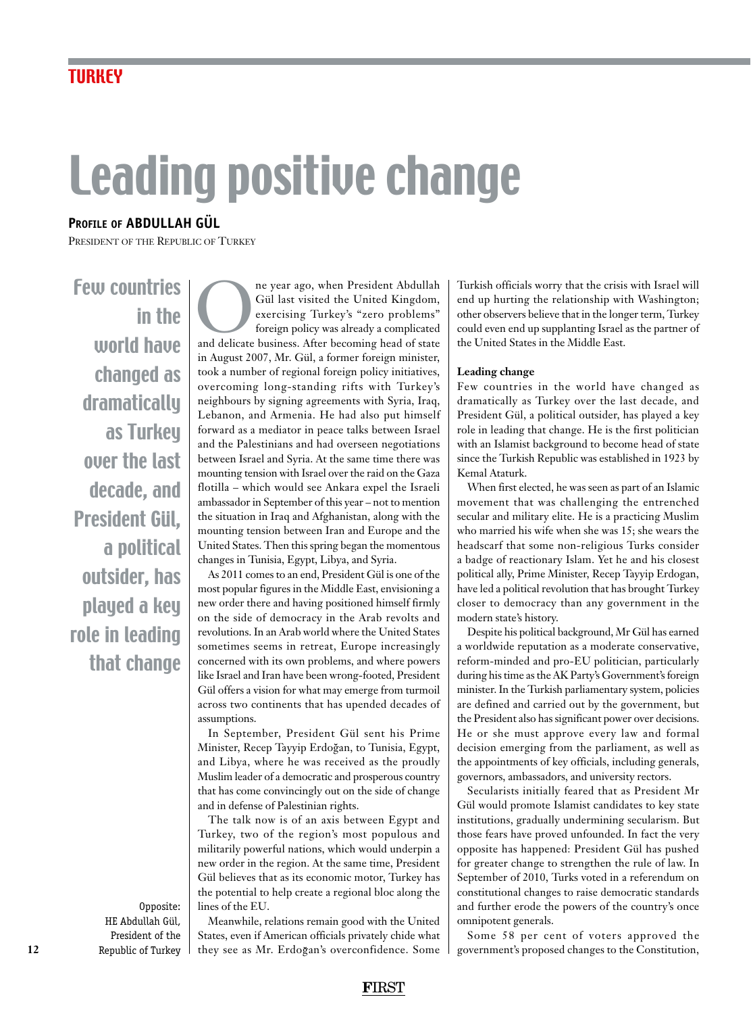# Leading positive change

### **Profile of abdullah gÜl**

President of the Republic of Turkey

Few countries in the world have changed as dramatically as Turkey over the last decade, and President Gül, a political outsider, has played a key role in leading that change

> Opposite: HE Abdullah Gül, President of the Republic of Turkey

The year ago, when President Abdullah Gül last visited the United Kingdom, exercising Turkey's "zero problems" foreign policy was already a complicated and delicate business. After becoming head of state Gül last visited the United Kingdom, exercising Turkey's "zero problems" foreign policy was already a complicated in August 2007, Mr. Gül, a former foreign minister, took a number of regional foreign policy initiatives, overcoming long-standing rifts with Turkey's neighbours by signing agreements with Syria, Iraq, Lebanon, and Armenia. He had also put himself forward as a mediator in peace talks between Israel and the Palestinians and had overseen negotiations between Israel and Syria. At the same time there was mounting tension with Israel over the raid on the Gaza flotilla – which would see Ankara expel the Israeli ambassador in September of this year – not to mention the situation in Iraq and Afghanistan, along with the mounting tension between Iran and Europe and the United States. Then this spring began the momentous changes in Tunisia, Egypt, Libya, and Syria.

As 2011 comes to an end, President Gül is one of the most popular figures in the Middle East, envisioning a new order there and having positioned himself firmly on the side of democracy in the Arab revolts and revolutions. In an Arab world where the United States sometimes seems in retreat, Europe increasingly concerned with its own problems, and where powers like Israel and Iran have been wrong-footed, President Gül offers a vision for what may emerge from turmoil across two continents that has upended decades of assumptions.

In September, President Gül sent his Prime Minister, Recep Tayyip Erdogan, to Tunisia, Egypt, and Libya, where he was received as the proudly Muslim leader of a democratic and prosperous country that has come convincingly out on the side of change and in defense of Palestinian rights.

The talk now is of an axis between Egypt and Turkey, two of the region's most populous and militarily powerful nations, which would underpin a new order in the region. At the same time, President Gül believes that as its economic motor, Turkey has the potential to help create a regional bloc along the lines of the EU.

Meanwhile, relations remain good with the United States, even if American officials privately chide what they see as Mr. Erdogan's overconfidence. Some

Turkish officials worry that the crisis with Israel will end up hurting the relationship with Washington; other observers believe that in the longer term, Turkey could even end up supplanting Israel as the partner of the United States in the Middle East.

#### **Leading change**

Few countries in the world have changed as dramatically as Turkey over the last decade, and President Gül, a political outsider, has played a key role in leading that change. He is the first politician with an Islamist background to become head of state since the Turkish Republic was established in 1923 by Kemal Ataturk.

When first elected, he was seen as part of an Islamic movement that was challenging the entrenched secular and military elite. He is a practicing Muslim who married his wife when she was 15; she wears the headscarf that some non-religious Turks consider a badge of reactionary Islam. Yet he and his closest political ally, Prime Minister, Recep Tayyip Erdogan, have led a political revolution that has brought Turkey closer to democracy than any government in the modern state's history.

Despite his political background, Mr Gül has earned a worldwide reputation as a moderate conservative, reform-minded and pro-EU politician, particularly during his time as the AK Party's Government's foreign minister. In the Turkish parliamentary system, policies are defined and carried out by the government, but the President also has significant power over decisions. He or she must approve every law and formal decision emerging from the parliament, as well as the appointments of key officials, including generals, governors, ambassadors, and university rectors.

Secularists initially feared that as President Mr Gül would promote Islamist candidates to key state institutions, gradually undermining secularism. But those fears have proved unfounded. In fact the very opposite has happened: President Gül has pushed for greater change to strengthen the rule of law. In September of 2010, Turks voted in a referendum on constitutional changes to raise democratic standards and further erode the powers of the country's once omnipotent generals.

Some 58 per cent of voters approved the government's proposed changes to the Constitution,